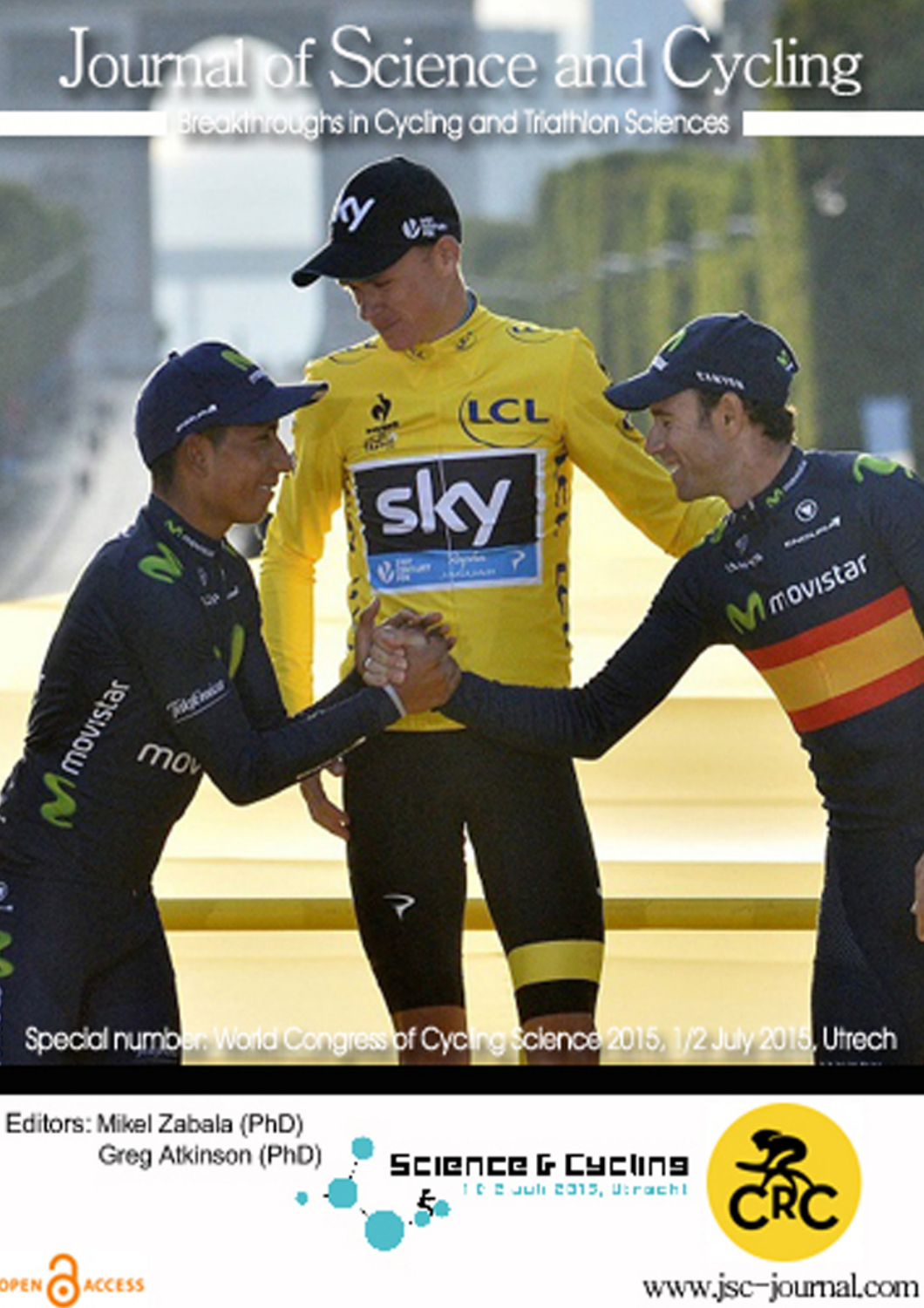# Journal of Science and Cycling

Breakthroughs in Cycling and Triathlon Sciences



Editors: Mikel Zabala (PhD) Greg Atkinson (PhD)

OPEN CACCESS





www.jsc-journal.com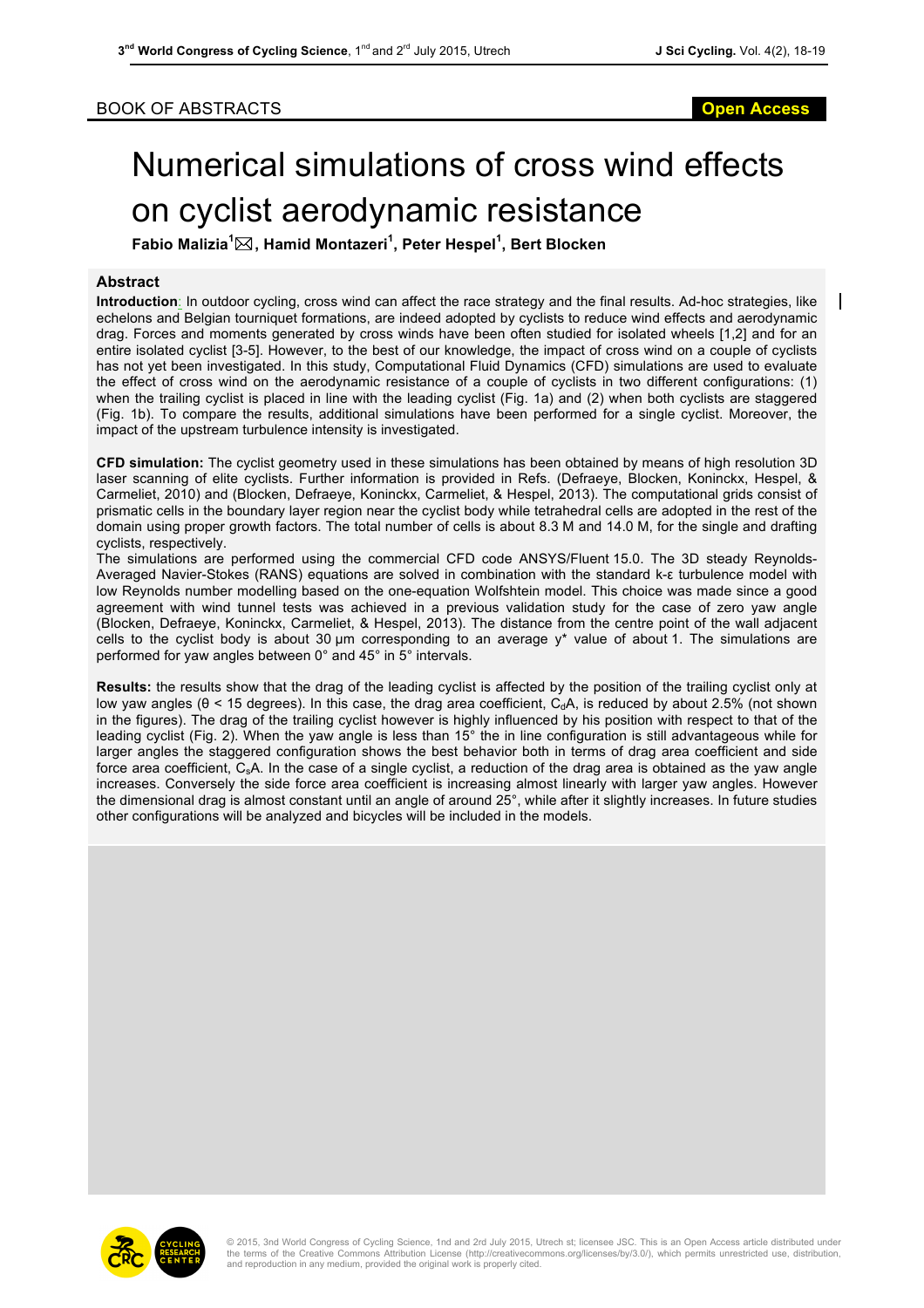### BOOK OF ABSTRACTS **Open Access**

## Numerical simulations of cross wind effects on cyclist aerodynamic resistance

**Fabio Malizia<sup>1</sup>** \***, Hamid Montazeri<sup>1</sup> , Peter Hespel<sup>1</sup> , Bert Blocken**

#### **Abstract**

**Introduction**: In outdoor cycling, cross wind can affect the race strategy and the final results. Ad-hoc strategies, like echelons and Belgian tourniquet formations, are indeed adopted by cyclists to reduce wind effects and aerodynamic drag. Forces and moments generated by cross winds have been often studied for isolated wheels [1,2] and for an entire isolated cyclist [3-5]. However, to the best of our knowledge, the impact of cross wind on a couple of cyclists has not yet been investigated. In this study, Computational Fluid Dynamics (CFD) simulations are used to evaluate the effect of cross wind on the aerodynamic resistance of a couple of cyclists in two different configurations: (1) when the trailing cyclist is placed in line with the leading cyclist (Fig. 1a) and (2) when both cyclists are staggered (Fig. 1b). To compare the results, additional simulations have been performed for a single cyclist. Moreover, the impact of the upstream turbulence intensity is investigated.

**CFD simulation:** The cyclist geometry used in these simulations has been obtained by means of high resolution 3D laser scanning of elite cyclists. Further information is provided in Refs. (Defraeye, Blocken, Koninckx, Hespel, & Carmeliet, 2010) and (Blocken, Defraeye, Koninckx, Carmeliet, & Hespel, 2013). The computational grids consist of prismatic cells in the boundary layer region near the cyclist body while tetrahedral cells are adopted in the rest of the domain using proper growth factors. The total number of cells is about 8.3 M and 14.0 M, for the single and drafting cyclists, respectively.

The simulations are performed using the commercial CFD code ANSYS/Fluent 15.0. The 3D steady Reynolds-Averaged Navier-Stokes (RANS) equations are solved in combination with the standard k-ε turbulence model with low Reynolds number modelling based on the one-equation Wolfshtein model. This choice was made since a good agreement with wind tunnel tests was achieved in a previous validation study for the case of zero yaw angle (Blocken, Defraeye, Koninckx, Carmeliet, & Hespel, 2013). The distance from the centre point of the wall adjacent cells to the cyclist body is about 30 µm corresponding to an average y\* value of about 1. The simulations are performed for yaw angles between 0° and 45° in 5° intervals.

**Results:** the results show that the drag of the leading cyclist is affected by the position of the trailing cyclist only at low yaw angles ( $\theta$  < 15 degrees). In this case, the drag area coefficient,  $C_dA$ , is reduced by about 2.5% (not shown in the figures). The drag of the trailing cyclist however is highly influenced by his position with respect to that of the leading cyclist (Fig. 2). When the yaw angle is less than 15° the in line configuration is still advantageous while for larger angles the staggered configuration shows the best behavior both in terms of drag area coefficient and side force area coefficient,  $C_sA$ . In the case of a single cyclist, a reduction of the drag area is obtained as the yaw angle increases. Conversely the side force area coefficient is increasing almost linearly with larger yaw angles. However the dimensional drag is almost constant until an angle of around 25°, while after it slightly increases. In future studies other configurations will be analyzed and bicycles will be included in the models.